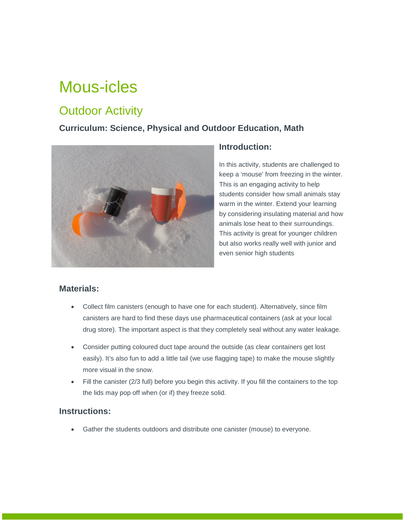# Mous-icles

## **Outdoor Activity**

### **Curriculum: Science, Physical and Outdoor Education, Math**



#### **Introduction:**

In this activity, students are challenged to keep a 'mouse' from freezing in the winter. This is an engaging activity to help students consider how small animals stay warm in the winter. Extend your learning by considering insulating material and how animals lose heat to their surroundings. This activity is great for younger children but also works really well with junior and even senior high students

#### **Materials:**

- Collect film canisters (enough to have one for each student). Alternatively, since film canisters are hard to find these days use pharmaceutical containers (ask at your local drug store). The important aspect is that they completely seal without any water leakage.
- Consider putting coloured duct tape around the outside (as clear containers get lost easily). It's also fun to add a little tail (we use flagging tape) to make the mouse slightly more visual in the snow.
- Fill the canister (2/3 full) before you begin this activity. If you fill the containers to the top the lids may pop off when (or if) they freeze solid.

#### **Instructions:**

• Gather the students outdoors and distribute one canister (mouse) to everyone.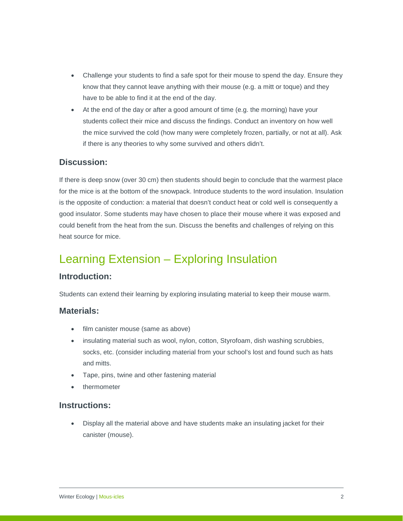- Challenge your students to find a safe spot for their mouse to spend the day. Ensure they know that they cannot leave anything with their mouse (e.g. a mitt or toque) and they have to be able to find it at the end of the day.
- At the end of the day or after a good amount of time (e.g. the morning) have your students collect their mice and discuss the findings. Conduct an inventory on how well the mice survived the cold (how many were completely frozen, partially, or not at all). Ask if there is any theories to why some survived and others didn't.

#### **Discussion:**

If there is deep snow (over 30 cm) then students should begin to conclude that the warmest place for the mice is at the bottom of the snowpack. Introduce students to the word insulation. Insulation is the opposite of conduction: a material that doesn't conduct heat or cold well is consequently a good insulator. Some students may have chosen to place their mouse where it was exposed and could benefit from the heat from the sun. Discuss the benefits and challenges of relying on this heat source for mice.

### Learning Extension – Exploring Insulation

#### **Introduction:**

Students can extend their learning by exploring insulating material to keep their mouse warm.

#### **Materials:**

- film canister mouse (same as above)
- insulating material such as wool, nylon, cotton, Styrofoam, dish washing scrubbies, socks, etc. (consider including material from your school's lost and found such as hats and mitts.
- Tape, pins, twine and other fastening material
- thermometer

#### **Instructions:**

• Display all the material above and have students make an insulating jacket for their canister (mouse).